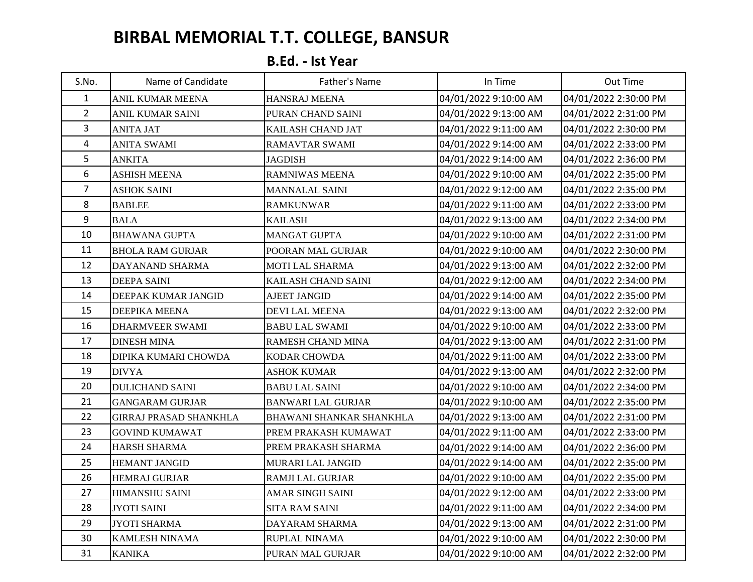## **BIRBAL MEMORIAL T.T. COLLEGE, BANSUR**

## **B.Ed. - Ist Year**

| S.No.          | Name of Candidate             | Father's Name             | In Time               | Out Time              |
|----------------|-------------------------------|---------------------------|-----------------------|-----------------------|
| $\mathbf{1}$   | ANIL KUMAR MEENA              | HANSRAJ MEENA             | 04/01/2022 9:10:00 AM | 04/01/2022 2:30:00 PM |
| $\overline{2}$ | <b>ANIL KUMAR SAINI</b>       | PURAN CHAND SAINI         | 04/01/2022 9:13:00 AM | 04/01/2022 2:31:00 PM |
| $\overline{3}$ | <b>ANITA JAT</b>              | KAILASH CHAND JAT         | 04/01/2022 9:11:00 AM | 04/01/2022 2:30:00 PM |
| $\overline{4}$ | <b>ANITA SWAMI</b>            | RAMAVTAR SWAMI            | 04/01/2022 9:14:00 AM | 04/01/2022 2:33:00 PM |
| 5              | <b>ANKITA</b>                 | JAGDISH                   | 04/01/2022 9:14:00 AM | 04/01/2022 2:36:00 PM |
| 6              | <b>ASHISH MEENA</b>           | <b>RAMNIWAS MEENA</b>     | 04/01/2022 9:10:00 AM | 04/01/2022 2:35:00 PM |
| $\overline{7}$ | <b>ASHOK SAINI</b>            | <b>MANNALAL SAINI</b>     | 04/01/2022 9:12:00 AM | 04/01/2022 2:35:00 PM |
| 8              | <b>BABLEE</b>                 | <b>RAMKUNWAR</b>          | 04/01/2022 9:11:00 AM | 04/01/2022 2:33:00 PM |
| 9              | <b>BALA</b>                   | <b>KAILASH</b>            | 04/01/2022 9:13:00 AM | 04/01/2022 2:34:00 PM |
| 10             | <b>BHAWANA GUPTA</b>          | <b>MANGAT GUPTA</b>       | 04/01/2022 9:10:00 AM | 04/01/2022 2:31:00 PM |
| 11             | <b>BHOLA RAM GURJAR</b>       | POORAN MAL GURJAR         | 04/01/2022 9:10:00 AM | 04/01/2022 2:30:00 PM |
| 12             | DAYANAND SHARMA               | MOTI LAL SHARMA           | 04/01/2022 9:13:00 AM | 04/01/2022 2:32:00 PM |
| 13             | <b>DEEPA SAINI</b>            | KAILASH CHAND SAINI       | 04/01/2022 9:12:00 AM | 04/01/2022 2:34:00 PM |
| 14             | DEEPAK KUMAR JANGID           | <b>AJEET JANGID</b>       | 04/01/2022 9:14:00 AM | 04/01/2022 2:35:00 PM |
| 15             | <b>DEEPIKA MEENA</b>          | <b>DEVI LAL MEENA</b>     | 04/01/2022 9:13:00 AM | 04/01/2022 2:32:00 PM |
| 16             | <b>DHARMVEER SWAMI</b>        | <b>BABU LAL SWAMI</b>     | 04/01/2022 9:10:00 AM | 04/01/2022 2:33:00 PM |
| 17             | <b>DINESH MINA</b>            | RAMESH CHAND MINA         | 04/01/2022 9:13:00 AM | 04/01/2022 2:31:00 PM |
| 18             | DIPIKA KUMARI CHOWDA          | KODAR CHOWDA              | 04/01/2022 9:11:00 AM | 04/01/2022 2:33:00 PM |
| 19             | <b>DIVYA</b>                  | <b>ASHOK KUMAR</b>        | 04/01/2022 9:13:00 AM | 04/01/2022 2:32:00 PM |
| 20             | <b>DULICHAND SAINI</b>        | <b>BABU LAL SAINI</b>     | 04/01/2022 9:10:00 AM | 04/01/2022 2:34:00 PM |
| 21             | <b>GANGARAM GURJAR</b>        | <b>BANWARI LAL GURJAR</b> | 04/01/2022 9:10:00 AM | 04/01/2022 2:35:00 PM |
| 22             | <b>GIRRAJ PRASAD SHANKHLA</b> | BHAWANI SHANKAR SHANKHLA  | 04/01/2022 9:13:00 AM | 04/01/2022 2:31:00 PM |
| 23             | <b>GOVIND KUMAWAT</b>         | PREM PRAKASH KUMAWAT      | 04/01/2022 9:11:00 AM | 04/01/2022 2:33:00 PM |
| 24             | <b>HARSH SHARMA</b>           | PREM PRAKASH SHARMA       | 04/01/2022 9:14:00 AM | 04/01/2022 2:36:00 PM |
| 25             | <b>HEMANT JANGID</b>          | MURARI LAL JANGID         | 04/01/2022 9:14:00 AM | 04/01/2022 2:35:00 PM |
| 26             | <b>HEMRAJ GURJAR</b>          | RAMJI LAL GURJAR          | 04/01/2022 9:10:00 AM | 04/01/2022 2:35:00 PM |
| 27             | HIMANSHU SAINI                | AMAR SINGH SAINI          | 04/01/2022 9:12:00 AM | 04/01/2022 2:33:00 PM |
| 28             | <b>JYOTI SAINI</b>            | <b>SITA RAM SAINI</b>     | 04/01/2022 9:11:00 AM | 04/01/2022 2:34:00 PM |
| 29             | <b>JYOTI SHARMA</b>           | DAYARAM SHARMA            | 04/01/2022 9:13:00 AM | 04/01/2022 2:31:00 PM |
| 30             | <b>KAMLESH NINAMA</b>         | RUPLAL NINAMA             | 04/01/2022 9:10:00 AM | 04/01/2022 2:30:00 PM |
| 31             | <b>KANIKA</b>                 | PURAN MAL GURJAR          | 04/01/2022 9:10:00 AM | 04/01/2022 2:32:00 PM |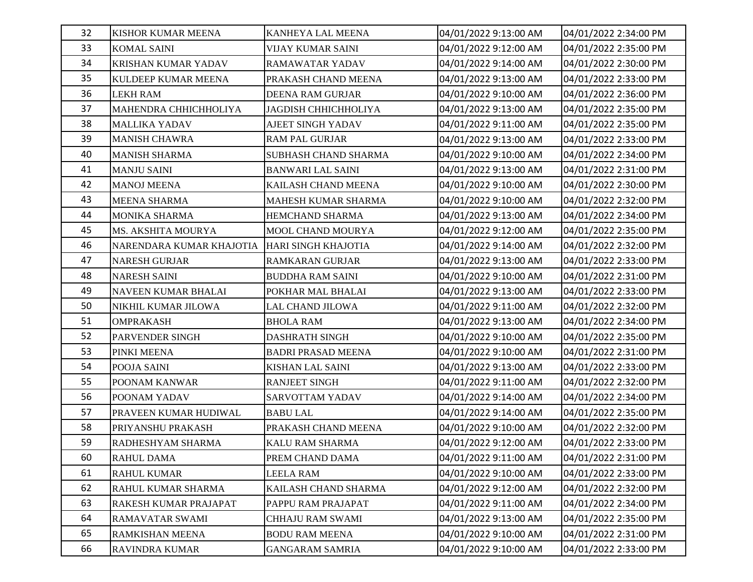| 32 | KISHOR KUMAR MEENA         | KANHEYA LAL MEENA           | 04/01/2022 9:13:00 AM | 04/01/2022 2:34:00 PM |
|----|----------------------------|-----------------------------|-----------------------|-----------------------|
| 33 | <b>KOMAL SAINI</b>         | <b>VIJAY KUMAR SAINI</b>    | 04/01/2022 9:12:00 AM | 04/01/2022 2:35:00 PM |
| 34 | <b>KRISHAN KUMAR YADAV</b> | <b>RAMAWATAR YADAV</b>      | 04/01/2022 9:14:00 AM | 04/01/2022 2:30:00 PM |
| 35 | KULDEEP KUMAR MEENA        | PRAKASH CHAND MEENA         | 04/01/2022 9:13:00 AM | 04/01/2022 2:33:00 PM |
| 36 | <b>LEKH RAM</b>            | <b>DEENA RAM GURJAR</b>     | 04/01/2022 9:10:00 AM | 04/01/2022 2:36:00 PM |
| 37 | MAHENDRA CHHICHHOLIYA      | <b>JAGDISH CHHICHHOLIYA</b> | 04/01/2022 9:13:00 AM | 04/01/2022 2:35:00 PM |
| 38 | <b>MALLIKA YADAV</b>       | <b>AJEET SINGH YADAV</b>    | 04/01/2022 9:11:00 AM | 04/01/2022 2:35:00 PM |
| 39 | <b>MANISH CHAWRA</b>       | <b>RAM PAL GURJAR</b>       | 04/01/2022 9:13:00 AM | 04/01/2022 2:33:00 PM |
| 40 | <b>MANISH SHARMA</b>       | SUBHASH CHAND SHARMA        | 04/01/2022 9:10:00 AM | 04/01/2022 2:34:00 PM |
| 41 | <b>MANJU SAINI</b>         | <b>BANWARI LAL SAINI</b>    | 04/01/2022 9:13:00 AM | 04/01/2022 2:31:00 PM |
| 42 | <b>MANOJ MEENA</b>         | KAILASH CHAND MEENA         | 04/01/2022 9:10:00 AM | 04/01/2022 2:30:00 PM |
| 43 | <b>MEENA SHARMA</b>        | MAHESH KUMAR SHARMA         | 04/01/2022 9:10:00 AM | 04/01/2022 2:32:00 PM |
| 44 | <b>MONIKA SHARMA</b>       | HEMCHAND SHARMA             | 04/01/2022 9:13:00 AM | 04/01/2022 2:34:00 PM |
| 45 | MS. AKSHITA MOURYA         | MOOL CHAND MOURYA           | 04/01/2022 9:12:00 AM | 04/01/2022 2:35:00 PM |
| 46 | NARENDARA KUMAR KHAJOTIA   | HARI SINGH KHAJOTIA         | 04/01/2022 9:14:00 AM | 04/01/2022 2:32:00 PM |
| 47 | <b>NARESH GURJAR</b>       | <b>RAMKARAN GURJAR</b>      | 04/01/2022 9:13:00 AM | 04/01/2022 2:33:00 PM |
| 48 | <b>NARESH SAINI</b>        | <b>BUDDHA RAM SAINI</b>     | 04/01/2022 9:10:00 AM | 04/01/2022 2:31:00 PM |
| 49 | NAVEEN KUMAR BHALAI        | POKHAR MAL BHALAI           | 04/01/2022 9:13:00 AM | 04/01/2022 2:33:00 PM |
| 50 | NIKHIL KUMAR JILOWA        | LAL CHAND JILOWA            | 04/01/2022 9:11:00 AM | 04/01/2022 2:32:00 PM |
| 51 | <b>OMPRAKASH</b>           | <b>BHOLA RAM</b>            | 04/01/2022 9:13:00 AM | 04/01/2022 2:34:00 PM |
| 52 | PARVENDER SINGH            | <b>DASHRATH SINGH</b>       | 04/01/2022 9:10:00 AM | 04/01/2022 2:35:00 PM |
| 53 | PINKI MEENA                | <b>BADRI PRASAD MEENA</b>   | 04/01/2022 9:10:00 AM | 04/01/2022 2:31:00 PM |
| 54 | POOJA SAINI                | <b>KISHAN LAL SAINI</b>     | 04/01/2022 9:13:00 AM | 04/01/2022 2:33:00 PM |
| 55 | POONAM KANWAR              | <b>RANJEET SINGH</b>        | 04/01/2022 9:11:00 AM | 04/01/2022 2:32:00 PM |
| 56 | POONAM YADAV               | <b>SARVOTTAM YADAV</b>      | 04/01/2022 9:14:00 AM | 04/01/2022 2:34:00 PM |
| 57 | PRAVEEN KUMAR HUDIWAL      | <b>BABU LAL</b>             | 04/01/2022 9:14:00 AM | 04/01/2022 2:35:00 PM |
| 58 | PRIYANSHU PRAKASH          | PRAKASH CHAND MEENA         | 04/01/2022 9:10:00 AM | 04/01/2022 2:32:00 PM |
| 59 | RADHESHYAM SHARMA          | KALU RAM SHARMA             | 04/01/2022 9:12:00 AM | 04/01/2022 2:33:00 PM |
| 60 | RAHUL DAMA                 | PREM CHAND DAMA             | 04/01/2022 9:11:00 AM | 04/01/2022 2:31:00 PM |
| 61 | RAHUL KUMAR                | <b>LEELA RAM</b>            | 04/01/2022 9:10:00 AM | 04/01/2022 2:33:00 PM |
| 62 | RAHUL KUMAR SHARMA         | KAILASH CHAND SHARMA        | 04/01/2022 9:12:00 AM | 04/01/2022 2:32:00 PM |
| 63 | RAKESH KUMAR PRAJAPAT      | PAPPU RAM PRAJAPAT          | 04/01/2022 9:11:00 AM | 04/01/2022 2:34:00 PM |
| 64 | RAMAVATAR SWAMI            | CHHAJU RAM SWAMI            | 04/01/2022 9:13:00 AM | 04/01/2022 2:35:00 PM |
| 65 | RAMKISHAN MEENA            | <b>BODU RAM MEENA</b>       | 04/01/2022 9:10:00 AM | 04/01/2022 2:31:00 PM |
| 66 | RAVINDRA KUMAR             | <b>GANGARAM SAMRIA</b>      | 04/01/2022 9:10:00 AM | 04/01/2022 2:33:00 PM |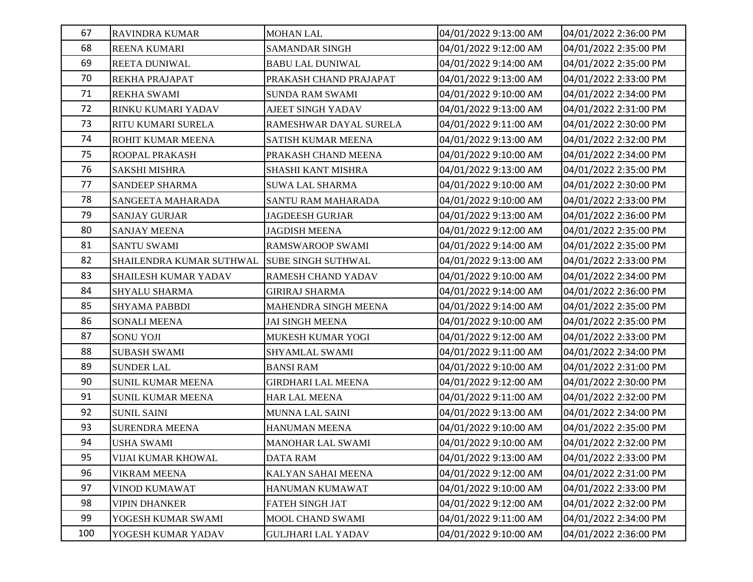| 67  | <b>RAVINDRA KUMAR</b>                       | <b>MOHAN LAL</b>          | 04/01/2022 9:13:00 AM | 04/01/2022 2:36:00 PM |
|-----|---------------------------------------------|---------------------------|-----------------------|-----------------------|
| 68  | <b>REENA KUMARI</b>                         | <b>SAMANDAR SINGH</b>     | 04/01/2022 9:12:00 AM | 04/01/2022 2:35:00 PM |
| 69  | <b>REETA DUNIWAL</b>                        | <b>BABU LAL DUNIWAL</b>   | 04/01/2022 9:14:00 AM | 04/01/2022 2:35:00 PM |
| 70  | REKHA PRAJAPAT                              | PRAKASH CHAND PRAJAPAT    | 04/01/2022 9:13:00 AM | 04/01/2022 2:33:00 PM |
| 71  | <b>REKHA SWAMI</b>                          | <b>SUNDA RAM SWAMI</b>    | 04/01/2022 9:10:00 AM | 04/01/2022 2:34:00 PM |
| 72  | RINKU KUMARI YADAV                          | <b>AJEET SINGH YADAV</b>  | 04/01/2022 9:13:00 AM | 04/01/2022 2:31:00 PM |
| 73  | RITU KUMARI SURELA                          | RAMESHWAR DAYAL SURELA    | 04/01/2022 9:11:00 AM | 04/01/2022 2:30:00 PM |
| 74  | ROHIT KUMAR MEENA                           | SATISH KUMAR MEENA        | 04/01/2022 9:13:00 AM | 04/01/2022 2:32:00 PM |
| 75  | ROOPAL PRAKASH                              | PRAKASH CHAND MEENA       | 04/01/2022 9:10:00 AM | 04/01/2022 2:34:00 PM |
| 76  | <b>SAKSHI MISHRA</b>                        | <b>SHASHI KANT MISHRA</b> | 04/01/2022 9:13:00 AM | 04/01/2022 2:35:00 PM |
| 77  | SANDEEP SHARMA                              | <b>SUWA LAL SHARMA</b>    | 04/01/2022 9:10:00 AM | 04/01/2022 2:30:00 PM |
| 78  | SANGEETA MAHARADA                           | SANTU RAM MAHARADA        | 04/01/2022 9:10:00 AM | 04/01/2022 2:33:00 PM |
| 79  | <b>SANJAY GURJAR</b>                        | <b>JAGDEESH GURJAR</b>    | 04/01/2022 9:13:00 AM | 04/01/2022 2:36:00 PM |
| 80  | <b>SANJAY MEENA</b>                         | <b>JAGDISH MEENA</b>      | 04/01/2022 9:12:00 AM | 04/01/2022 2:35:00 PM |
| 81  | <b>SANTU SWAMI</b>                          | <b>RAMSWAROOP SWAMI</b>   | 04/01/2022 9:14:00 AM | 04/01/2022 2:35:00 PM |
| 82  | SHAILENDRA KUMAR SUTHWAL SUBE SINGH SUTHWAL |                           | 04/01/2022 9:13:00 AM | 04/01/2022 2:33:00 PM |
| 83  | <b>SHAILESH KUMAR YADAV</b>                 | RAMESH CHAND YADAV        | 04/01/2022 9:10:00 AM | 04/01/2022 2:34:00 PM |
| 84  | <b>SHYALU SHARMA</b>                        | <b>GIRIRAJ SHARMA</b>     | 04/01/2022 9:14:00 AM | 04/01/2022 2:36:00 PM |
| 85  | <b>SHYAMA PABBDI</b>                        | MAHENDRA SINGH MEENA      | 04/01/2022 9:14:00 AM | 04/01/2022 2:35:00 PM |
| 86  | <b>SONALI MEENA</b>                         | <b>JAI SINGH MEENA</b>    | 04/01/2022 9:10:00 AM | 04/01/2022 2:35:00 PM |
| 87  | <b>SONU YOJI</b>                            | MUKESH KUMAR YOGI         | 04/01/2022 9:12:00 AM | 04/01/2022 2:33:00 PM |
| 88  | <b>SUBASH SWAMI</b>                         | SHYAMLAL SWAMI            | 04/01/2022 9:11:00 AM | 04/01/2022 2:34:00 PM |
| 89  | <b>SUNDER LAL</b>                           | <b>BANSI RAM</b>          | 04/01/2022 9:10:00 AM | 04/01/2022 2:31:00 PM |
| 90  | <b>SUNIL KUMAR MEENA</b>                    | <b>GIRDHARI LAL MEENA</b> | 04/01/2022 9:12:00 AM | 04/01/2022 2:30:00 PM |
| 91  | <b>SUNIL KUMAR MEENA</b>                    | <b>HAR LAL MEENA</b>      | 04/01/2022 9:11:00 AM | 04/01/2022 2:32:00 PM |
| 92  | <b>SUNIL SAINI</b>                          | <b>MUNNA LAL SAINI</b>    | 04/01/2022 9:13:00 AM | 04/01/2022 2:34:00 PM |
| 93  | <b>SURENDRA MEENA</b>                       | HANUMAN MEENA             | 04/01/2022 9:10:00 AM | 04/01/2022 2:35:00 PM |
| 94  | <b>USHA SWAMI</b>                           | <b>MANOHAR LAL SWAMI</b>  | 04/01/2022 9:10:00 AM | 04/01/2022 2:32:00 PM |
| 95  | VIJAI KUMAR KHOWAL                          | <b>DATA RAM</b>           | 04/01/2022 9:13:00 AM | 04/01/2022 2:33:00 PM |
| 96  | <b>VIKRAM MEENA</b>                         | KALYAN SAHAI MEENA        | 04/01/2022 9:12:00 AM | 04/01/2022 2:31:00 PM |
| 97  | VINOD KUMAWAT                               | HANUMAN KUMAWAT           | 04/01/2022 9:10:00 AM | 04/01/2022 2:33:00 PM |
| 98  | <b>VIPIN DHANKER</b>                        | FATEH SINGH JAT           | 04/01/2022 9:12:00 AM | 04/01/2022 2:32:00 PM |
| 99  | YOGESH KUMAR SWAMI                          | MOOL CHAND SWAMI          | 04/01/2022 9:11:00 AM | 04/01/2022 2:34:00 PM |
| 100 | YOGESH KUMAR YADAV                          | <b>GULJHARI LAL YADAV</b> | 04/01/2022 9:10:00 AM | 04/01/2022 2:36:00 PM |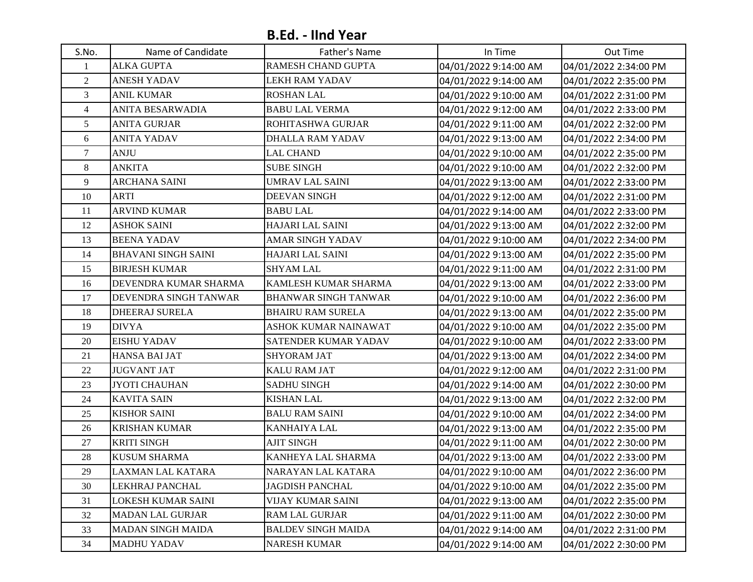## **B.Ed. - IInd Year**

| S.No.            | Name of Candidate            | Father's Name               | In Time               | Out Time              |
|------------------|------------------------------|-----------------------------|-----------------------|-----------------------|
| 1                | <b>ALKA GUPTA</b>            | RAMESH CHAND GUPTA          | 04/01/2022 9:14:00 AM | 04/01/2022 2:34:00 PM |
| $\overline{2}$   | <b>ANESH YADAV</b>           | LEKH RAM YADAV              | 04/01/2022 9:14:00 AM | 04/01/2022 2:35:00 PM |
| $\overline{3}$   | <b>ANIL KUMAR</b>            | <b>ROSHAN LAL</b>           | 04/01/2022 9:10:00 AM | 04/01/2022 2:31:00 PM |
| $\overline{4}$   | <b>ANITA BESARWADIA</b>      | <b>BABU LAL VERMA</b>       | 04/01/2022 9:12:00 AM | 04/01/2022 2:33:00 PM |
| 5                | <b>ANITA GURJAR</b>          | ROHITASHWA GURJAR           | 04/01/2022 9:11:00 AM | 04/01/2022 2:32:00 PM |
| 6                | <b>ANITA YADAV</b>           | <b>DHALLA RAM YADAV</b>     | 04/01/2022 9:13:00 AM | 04/01/2022 2:34:00 PM |
| $\boldsymbol{7}$ | <b>ANJU</b>                  | <b>LAL CHAND</b>            | 04/01/2022 9:10:00 AM | 04/01/2022 2:35:00 PM |
| 8                | <b>ANKITA</b>                | <b>SUBE SINGH</b>           | 04/01/2022 9:10:00 AM | 04/01/2022 2:32:00 PM |
| 9                | <b>ARCHANA SAINI</b>         | <b>UMRAV LAL SAINI</b>      | 04/01/2022 9:13:00 AM | 04/01/2022 2:33:00 PM |
| 10               | <b>ARTI</b>                  | <b>DEEVAN SINGH</b>         | 04/01/2022 9:12:00 AM | 04/01/2022 2:31:00 PM |
| 11               | <b>ARVIND KUMAR</b>          | <b>BABU LAL</b>             | 04/01/2022 9:14:00 AM | 04/01/2022 2:33:00 PM |
| 12               | <b>ASHOK SAINI</b>           | <b>HAJARI LAL SAINI</b>     | 04/01/2022 9:13:00 AM | 04/01/2022 2:32:00 PM |
| 13               | <b>BEENA YADAV</b>           | <b>AMAR SINGH YADAV</b>     | 04/01/2022 9:10:00 AM | 04/01/2022 2:34:00 PM |
| 14               | <b>BHAVANI SINGH SAINI</b>   | <b>HAJARI LAL SAINI</b>     | 04/01/2022 9:13:00 AM | 04/01/2022 2:35:00 PM |
| 15               | <b>BIRJESH KUMAR</b>         | <b>SHYAM LAL</b>            | 04/01/2022 9:11:00 AM | 04/01/2022 2:31:00 PM |
| 16               | DEVENDRA KUMAR SHARMA        | KAMLESH KUMAR SHARMA        | 04/01/2022 9:13:00 AM | 04/01/2022 2:33:00 PM |
| 17               | <b>DEVENDRA SINGH TANWAR</b> | <b>BHANWAR SINGH TANWAR</b> | 04/01/2022 9:10:00 AM | 04/01/2022 2:36:00 PM |
| 18               | <b>DHEERAJ SURELA</b>        | <b>BHAIRU RAM SURELA</b>    | 04/01/2022 9:13:00 AM | 04/01/2022 2:35:00 PM |
| 19               | <b>DIVYA</b>                 | ASHOK KUMAR NAINAWAT        | 04/01/2022 9:10:00 AM | 04/01/2022 2:35:00 PM |
| 20               | <b>EISHU YADAV</b>           | SATENDER KUMAR YADAV        | 04/01/2022 9:10:00 AM | 04/01/2022 2:33:00 PM |
| 21               | <b>HANSA BAI JAT</b>         | <b>SHYORAM JAT</b>          | 04/01/2022 9:13:00 AM | 04/01/2022 2:34:00 PM |
| 22               | <b>JUGVANT JAT</b>           | <b>KALU RAM JAT</b>         | 04/01/2022 9:12:00 AM | 04/01/2022 2:31:00 PM |
| 23               | <b>JYOTI CHAUHAN</b>         | <b>SADHU SINGH</b>          | 04/01/2022 9:14:00 AM | 04/01/2022 2:30:00 PM |
| 24               | <b>KAVITA SAIN</b>           | <b>KISHAN LAL</b>           | 04/01/2022 9:13:00 AM | 04/01/2022 2:32:00 PM |
| 25               | <b>KISHOR SAINI</b>          | <b>BALU RAM SAINI</b>       | 04/01/2022 9:10:00 AM | 04/01/2022 2:34:00 PM |
| 26               | <b>KRISHAN KUMAR</b>         | KANHAIYA LAL                | 04/01/2022 9:13:00 AM | 04/01/2022 2:35:00 PM |
| 27               | <b>KRITI SINGH</b>           | <b>AJIT SINGH</b>           | 04/01/2022 9:11:00 AM | 04/01/2022 2:30:00 PM |
| 28               | <b>KUSUM SHARMA</b>          | KANHEYA LAL SHARMA          | 04/01/2022 9:13:00 AM | 04/01/2022 2:33:00 PM |
| 29               | LAXMAN LAL KATARA            | NARAYAN LAL KATARA          | 04/01/2022 9:10:00 AM | 04/01/2022 2:36:00 PM |
| 30               | LEKHRAJ PANCHAL              | <b>JAGDISH PANCHAL</b>      | 04/01/2022 9:10:00 AM | 04/01/2022 2:35:00 PM |
| 31               | LOKESH KUMAR SAINI           | VIJAY KUMAR SAINI           | 04/01/2022 9:13:00 AM | 04/01/2022 2:35:00 PM |
| 32               | <b>MADAN LAL GURJAR</b>      | <b>RAM LAL GURJAR</b>       | 04/01/2022 9:11:00 AM | 04/01/2022 2:30:00 PM |
| 33               | <b>MADAN SINGH MAIDA</b>     | <b>BALDEV SINGH MAIDA</b>   | 04/01/2022 9:14:00 AM | 04/01/2022 2:31:00 PM |
| 34               | <b>MADHU YADAV</b>           | <b>NARESH KUMAR</b>         | 04/01/2022 9:14:00 AM | 04/01/2022 2:30:00 PM |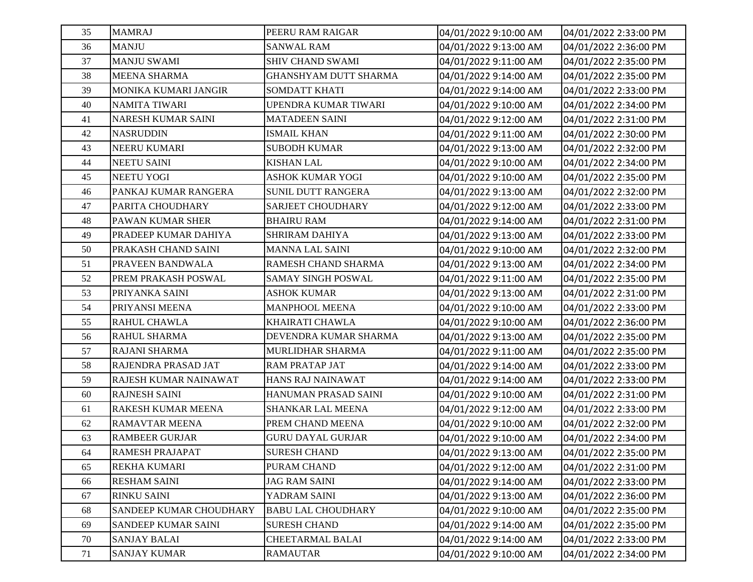| 35 | <b>MAMRAJ</b>             | PEERU RAM RAIGAR          | 04/01/2022 9:10:00 AM | 04/01/2022 2:33:00 PM |
|----|---------------------------|---------------------------|-----------------------|-----------------------|
| 36 | <b>MANJU</b>              | <b>SANWAL RAM</b>         | 04/01/2022 9:13:00 AM | 04/01/2022 2:36:00 PM |
| 37 | <b>MANJU SWAMI</b>        | <b>SHIV CHAND SWAMI</b>   | 04/01/2022 9:11:00 AM | 04/01/2022 2:35:00 PM |
| 38 | <b>MEENA SHARMA</b>       | GHANSHYAM DUTT SHARMA     | 04/01/2022 9:14:00 AM | 04/01/2022 2:35:00 PM |
| 39 | MONIKA KUMARI JANGIR      | <b>SOMDATT KHATI</b>      | 04/01/2022 9:14:00 AM | 04/01/2022 2:33:00 PM |
| 40 | <b>NAMITA TIWARI</b>      | UPENDRA KUMAR TIWARI      | 04/01/2022 9:10:00 AM | 04/01/2022 2:34:00 PM |
| 41 | <b>NARESH KUMAR SAINI</b> | <b>MATADEEN SAINI</b>     | 04/01/2022 9:12:00 AM | 04/01/2022 2:31:00 PM |
| 42 | <b>NASRUDDIN</b>          | <b>ISMAIL KHAN</b>        | 04/01/2022 9:11:00 AM | 04/01/2022 2:30:00 PM |
| 43 | NEERU KUMARI              | <b>SUBODH KUMAR</b>       | 04/01/2022 9:13:00 AM | 04/01/2022 2:32:00 PM |
| 44 | <b>NEETU SAINI</b>        | <b>KISHAN LAL</b>         | 04/01/2022 9:10:00 AM | 04/01/2022 2:34:00 PM |
| 45 | <b>NEETU YOGI</b>         | <b>ASHOK KUMAR YOGI</b>   | 04/01/2022 9:10:00 AM | 04/01/2022 2:35:00 PM |
| 46 | PANKAJ KUMAR RANGERA      | SUNIL DUTT RANGERA        | 04/01/2022 9:13:00 AM | 04/01/2022 2:32:00 PM |
| 47 | PARITA CHOUDHARY          | SARJEET CHOUDHARY         | 04/01/2022 9:12:00 AM | 04/01/2022 2:33:00 PM |
| 48 | <b>PAWAN KUMAR SHER</b>   | <b>BHAIRU RAM</b>         | 04/01/2022 9:14:00 AM | 04/01/2022 2:31:00 PM |
| 49 | PRADEEP KUMAR DAHIYA      | SHRIRAM DAHIYA            | 04/01/2022 9:13:00 AM | 04/01/2022 2:33:00 PM |
| 50 | PRAKASH CHAND SAINI       | <b>MANNA LAL SAINI</b>    | 04/01/2022 9:10:00 AM | 04/01/2022 2:32:00 PM |
| 51 | PRAVEEN BANDWALA          | RAMESH CHAND SHARMA       | 04/01/2022 9:13:00 AM | 04/01/2022 2:34:00 PM |
| 52 | PREM PRAKASH POSWAL       | <b>SAMAY SINGH POSWAL</b> | 04/01/2022 9:11:00 AM | 04/01/2022 2:35:00 PM |
| 53 | PRIYANKA SAINI            | <b>ASHOK KUMAR</b>        | 04/01/2022 9:13:00 AM | 04/01/2022 2:31:00 PM |
| 54 | PRIYANSI MEENA            | <b>MANPHOOL MEENA</b>     | 04/01/2022 9:10:00 AM | 04/01/2022 2:33:00 PM |
| 55 | RAHUL CHAWLA              | KHAIRATI CHAWLA           | 04/01/2022 9:10:00 AM | 04/01/2022 2:36:00 PM |
| 56 | RAHUL SHARMA              | DEVENDRA KUMAR SHARMA     | 04/01/2022 9:13:00 AM | 04/01/2022 2:35:00 PM |
| 57 | <b>RAJANI SHARMA</b>      | MURLIDHAR SHARMA          | 04/01/2022 9:11:00 AM | 04/01/2022 2:35:00 PM |
| 58 | RAJENDRA PRASAD JAT       | <b>RAM PRATAP JAT</b>     | 04/01/2022 9:14:00 AM | 04/01/2022 2:33:00 PM |
| 59 | RAJESH KUMAR NAINAWAT     | HANS RAJ NAINAWAT         | 04/01/2022 9:14:00 AM | 04/01/2022 2:33:00 PM |
| 60 | <b>RAJNESH SAINI</b>      | HANUMAN PRASAD SAINI      | 04/01/2022 9:10:00 AM | 04/01/2022 2:31:00 PM |
| 61 | RAKESH KUMAR MEENA        | <b>SHANKAR LAL MEENA</b>  | 04/01/2022 9:12:00 AM | 04/01/2022 2:33:00 PM |
| 62 | <b>RAMAVTAR MEENA</b>     | PREM CHAND MEENA          | 04/01/2022 9:10:00 AM | 04/01/2022 2:32:00 PM |
| 63 | <b>RAMBEER GURJAR</b>     | <b>GURU DAYAL GURJAR</b>  | 04/01/2022 9:10:00 AM | 04/01/2022 2:34:00 PM |
| 64 | RAMESH PRAJAPAT           | <b>SURESH CHAND</b>       | 04/01/2022 9:13:00 AM | 04/01/2022 2:35:00 PM |
| 65 | <b>REKHA KUMARI</b>       | PURAM CHAND               | 04/01/2022 9:12:00 AM | 04/01/2022 2:31:00 PM |
| 66 | <b>RESHAM SAINI</b>       | <b>JAG RAM SAINI</b>      | 04/01/2022 9:14:00 AM | 04/01/2022 2:33:00 PM |
| 67 | <b>RINKU SAINI</b>        | YADRAM SAINI              | 04/01/2022 9:13:00 AM | 04/01/2022 2:36:00 PM |
| 68 | SANDEEP KUMAR CHOUDHARY   | <b>BABU LAL CHOUDHARY</b> | 04/01/2022 9:10:00 AM | 04/01/2022 2:35:00 PM |
| 69 | SANDEEP KUMAR SAINI       | <b>SURESH CHAND</b>       | 04/01/2022 9:14:00 AM | 04/01/2022 2:35:00 PM |
| 70 | <b>SANJAY BALAI</b>       | CHEETARMAL BALAI          | 04/01/2022 9:14:00 AM | 04/01/2022 2:33:00 PM |
| 71 | <b>SANJAY KUMAR</b>       | <b>RAMAUTAR</b>           | 04/01/2022 9:10:00 AM | 04/01/2022 2:34:00 PM |